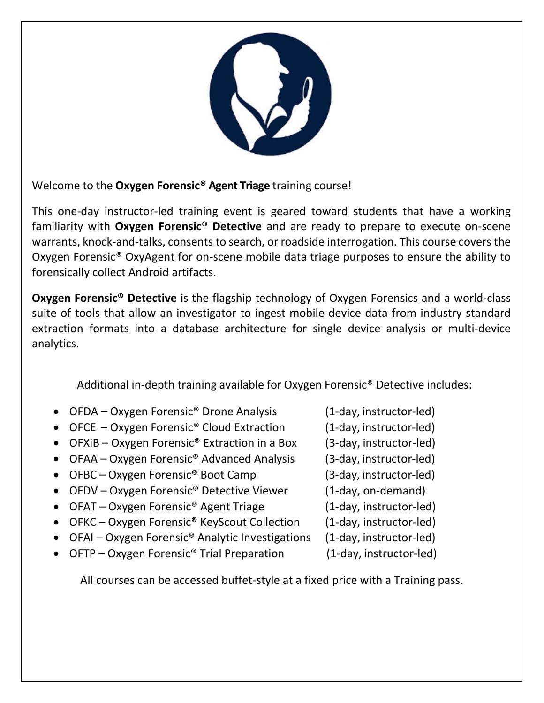

Welcome to the **Oxygen Forensic® Agent Triage** training course!

This one-day instructor-led training event is geared toward students that have a working familiarity with **Oxygen Forensic® Detective** and are ready to prepare to execute on-scene warrants, knock-and-talks, consents to search, or roadside interrogation. This course covers the Oxygen Forensic® OxyAgent for on-scene mobile data triage purposes to ensure the ability to forensically collect Android artifacts.

**Oxygen Forensic<sup>®</sup> Detective** is the flagship technology of Oxygen Forensics and a world-class suite of tools that allow an investigator to ingest mobile device data from industry standard extraction formats into a database architecture for single device analysis or multi-device analytics.

Additional in-depth training available for Oxygen Forensic® Detective includes:

- OFDA Oxygen Forensic® Drone Analysis (1-day, instructor-led)
- OFCE Oxygen Forensic<sup>®</sup> Cloud Extraction (1-day, instructor-led)
- OFXiB Oxygen Forensic<sup>®</sup> Extraction in a Box (3-day, instructor-led)
- OFAA Oxygen Forensic® Advanced Analysis (3-day, instructor-led)
- OFBC Oxygen Forensic® Boot Camp (3-day, instructor-led)
- OFDV Oxygen Forensic<sup>®</sup> Detective Viewer (1-day, on-demand)
- OFAT Oxygen Forensic<sup>®</sup> Agent Triage (1-day, instructor-led)
- OFKC Oxygen Forensic<sup>®</sup> KeyScout Collection (1-day, instructor-led)
- OFAI Oxygen Forensic<sup>®</sup> Analytic Investigations (1-day, instructor-led)
- OFTP Oxygen Forensic<sup>®</sup> Trial Preparation (1-day, instructor-led)

All courses can be accessed buffet-style at a fixed price with a Training pass.

- 
- 
- 
- 
- 
- 
- 
- 
-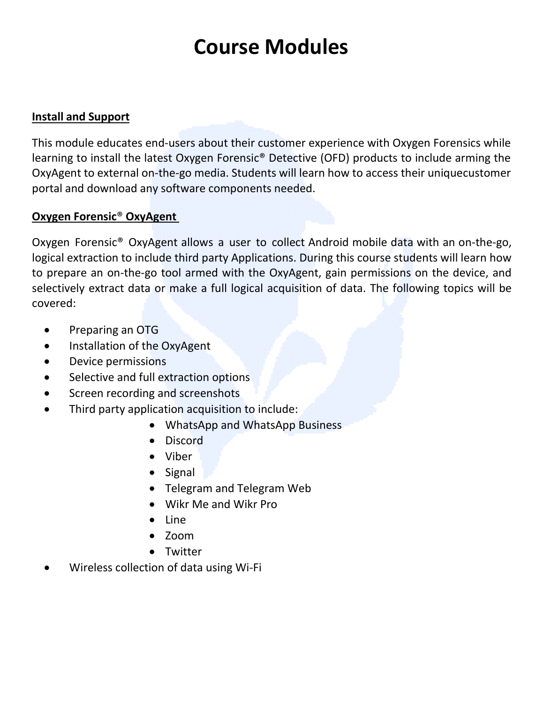## **Course Modules**

## **Install and Support**

This module educates end-users about their customer experience with Oxygen Forensics while learning to install the latest Oxygen Forensic® Detective (OFD) products to include arming the OxyAgent to external on-the-go media. Students will learn how to access their uniquecustomer portal and download any software components needed.

## **Oxygen Forensic**® **OxyAgent**

Oxygen Forensic® OxyAgent allows a user to collect Android mobile data with an on-the-go, logical extraction to include third party Applications. During this course students will learn how to prepare an on-the-go tool armed with the OxyAgent, gain permissions on the device, and selectively extract data or make a full logical acquisition of data. The following topics will be covered:

- Preparing an OTG
- Installation of the OxyAgent
- Device permissions
- Selective and full extraction options
- Screen recording and screenshots
- Third party application acquisition to include:
	- WhatsApp and WhatsApp Business
	- Discord
	- Viber
	- Signal
	- Telegram and Telegram Web
	- Wikr Me and Wikr Pro
	- Line
	- Zoom
	- Twitter
- Wireless collection of data using Wi-Fi